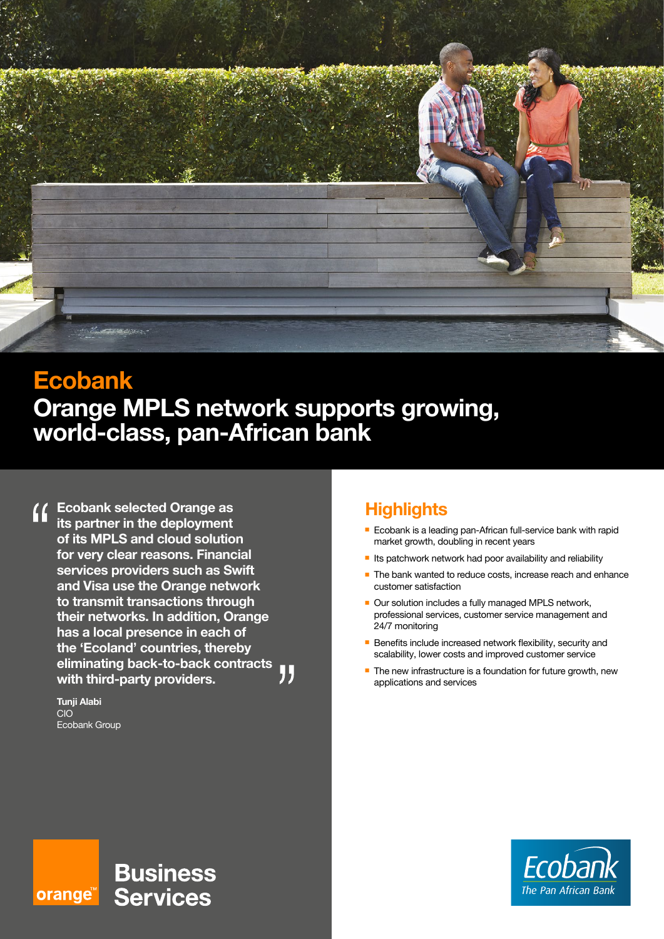

# **Ecobank Orange MPLS network supports growing, world-class, pan-African bank**

**Ecobank selected Orange as its partner in the deployment of its MPLS and cloud solution for very clear reasons. Financial services providers such as Swift and Visa use the Orange network to transmit transactions through their networks. In addition, Orange has a local presence in each of the 'Ecoland' countries, thereby eliminating back-to-back contracts with third-party providers.**

**Tunji Alabi** CIO Ecobank Group

# **Highlights**

- **Ecobank is a leading pan-African full-service bank with rapid** market growth, doubling in recent years
- $\blacksquare$  Its patchwork network had poor availability and reliability
- $\blacksquare$  The bank wanted to reduce costs, increase reach and enhance customer satisfaction
- Our solution includes a fully managed MPLS network, professional services, customer service management and 24/7 monitoring
- $\blacksquare$  Benefits include increased network flexibility, security and scalability, lower costs and improved customer service
- $\blacksquare$  The new infrastructure is a foundation for future growth, new applications and services